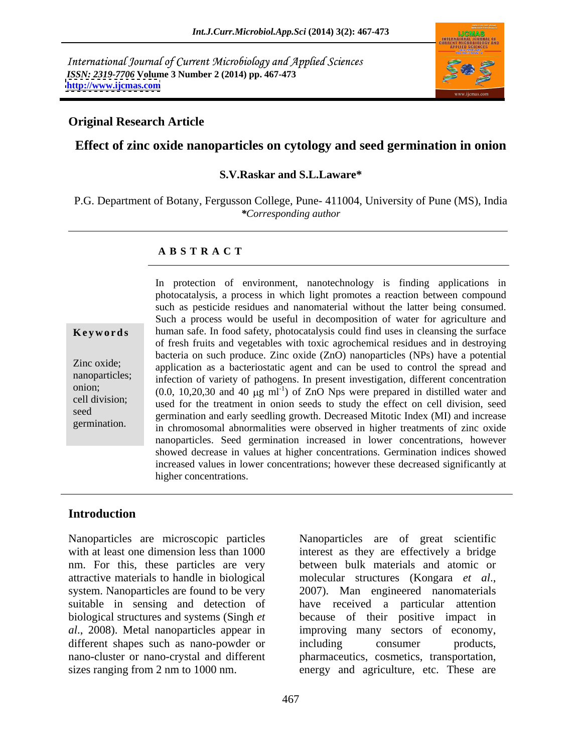International Journal of Current Microbiology and Applied Sciences *ISSN: 2319-7706* **Volume 3 Number 2 (2014) pp. 467-473 <http://www.ijcmas.com>**



## **Original Research Article**

# **Effect of zinc oxide nanoparticles on cytology and seed germination in onion**

### **S.V.Raskar and S.L.Laware\***

P.G. Department of Botany, Fergusson College, Pune- 411004, University of Pune (MS), India *\*Corresponding author*

### **A B S T R A C T**

**Keywords** human safe. In food safety, photocatalysis could find uses in cleansing the surface Zinc oxide; application as a bacteriostatic agent and can be used to control the spread and nanoparticles; infection of variety of pathogens. In present investigation, different concentration onion;  $(0.0, 10, 20, 30 \text{ and } 40 \mu\text{g m}^{-1})$  of ZnO Nps were prepared in distilled water and cell division;<br>used for the treatment in onion seeds to study the effect on cell division, seed seed<br>germination and early seedling growth. Decreased Mitotic Index (MI) and increase germination. In chromosomal abnormalities were observed in higher treatments of zinc oxide In protection of environment, nanotechnology is finding applications in photocatalysis, a process in which light promotes a reaction between compound such as pesticide residues and nanomaterial without the latter being consumed. Such a process would be useful in decomposition of water for agriculture and of fresh fruits and vegetables with toxic agrochemical residues and in destroying bacteria on such produce. Zinc oxide (ZnO) nanoparticles (NPs) have a potential nanoparticles. Seed germination increased in lower concentrations, however showed decrease in values at higher concentrations. Germination indices showed increased values in lower concentrations; however these decreased significantly at higher concentrations.

### **Introduction**

Nanoparticles are microscopic particles Nanoparticles are of great scientific with at least one dimension less than 1000 interest as they are effectively a bridge nm. For this, these particles are very attractive materials to handle in biological and molecular structures (Kongara et al., system. Nanoparticles are found to be very 2007). Man engineered nanomaterials suitable in sensing and detection of have received a particular attention biological structures and systems (Singh *et*  because of their positive impact in *al*., 2008). Metal nanoparticles appear in improving many sectors of economy, different shapes such as nano-powder or including consumer products, nano-cluster or nano-crystal and different pharmaceutics, cosmetics, transportation,

sizes ranging from 2 nm to 1000 nm. energy and agriculture, etc. These are between bulk materials and atomic or molecular structures (Kongara *et al*., 2007). Man engineered nanomaterials including consumer products,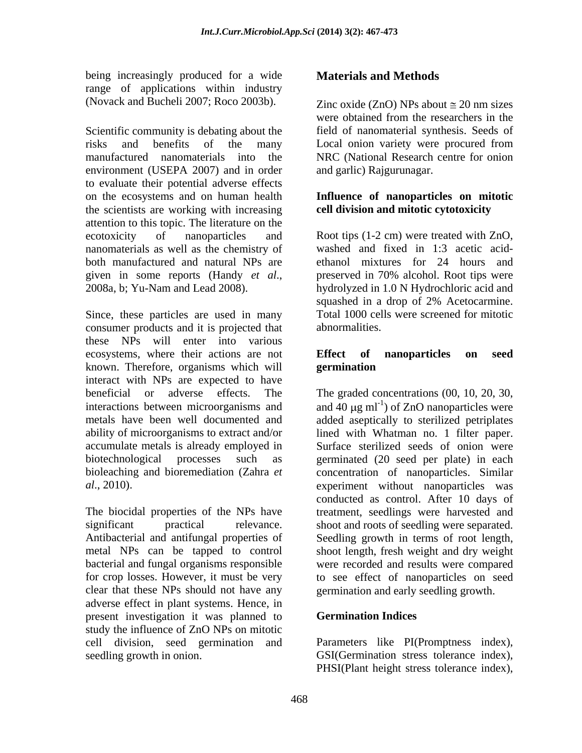being increasingly produced for a wide **Materials and Methods** range of applications within industry

Scientific community is debating about the field of nanomaterial synthesis. Seeds of risks and benefits of the many manufactured nanomaterials into the NRC (National Research centre for onion environment (USEPA 2007) and in order to evaluate their potential adverse effects on the ecosystems and on human health **Influence of nanoparticles on mitotic** the scientists are working with increasing attention to this topic. The literature on the ecotoxicity of nanoparticles and Root tips (1-2 cm) were treated with ZnO, nanomaterials as well as the chemistry of both manufactured and natural NPs are given in some reports (Handy *et al.*, preserved in 70% alcohol. Root tips were 2008a, b; Yu-Nam and Lead 2008). <br>2008a, b; Yu-Nam and Lead 2008). <br>2008a, b; Yu-Nam and Lead 2008).

Since, these particles are used in many Total 1000 cells were screened for mitotic consumer products and it is projected that these NPs will enter into various ecosystems, where their actions are not **Effect** of **nanoparticles** on seed known. Therefore, organisms which will interact with NPs are expected to have beneficial or adverse effects. The The graded concentrations (00, 10, 20, 30, interactions between microorganisms and  $\qquad \qquad$  and 40  $\mu$ g ml<sup>-1</sup>) of ZnO nanoparticles were metals have been well documented and added aseptically to sterilized petriplates ability of microorganisms to extract and/or lined with Whatman no. 1 filter paper. accumulate metals is already employed in Surface sterilized seeds of onion were biotechnological processes such as germinated (20 seed per plate) in each bioleaching and bioremediation (Zahra *et*  concentration of nanoparticles. Similar

clear that these NPs should not have any germination and early seedling growth. adverse effect in plant systems. Hence, in present investigation it was planned to **Germination Indices** study the influence of ZnO NPs on mitotic cell division, seed germination and Parameters like PI(Promptness index), seedling growth in onion. GSI(Germination stress tolerance index),

# **Materials and Methods**

(Novack and Bucheli 2007; Roco 2003b). Zinc oxide (ZnO) NPs about  $\approx$  20 nm sizes were obtained from the researchers in the Local onion variety were procured from and garlic) Rajgurunagar.

# **cell division and mitotic cytotoxicity**

washed and fixed in 1:3 acetic acid ethanol mixtures for 24 hours and preserved in 70% alcohol. Root tips were hydrolyzed in 1.0 N Hydrochloric acid and squashed in a drop of 2% Acetocarmine. abnormalities.

## **Effect of nanoparticles on seed germination**

*al*., 2010). experiment without nanoparticles was The biocidal properties of the NPs have treatment, seedlings were harvested and significant practical relevance. shoot and roots of seedling were separated. Antibacterial and antifungal properties of Seedling growth in terms of root length, metal NPs can be tapped to control shoot length, fresh weight and dry weight bacterial and fungal organisms responsible were recorded and results were compared for crop losses. However, it must be very to see effect of nanoparticles on seed conducted as control. After 10 days of

# **Germination Indices**

PHSI(Plant height stress tolerance index),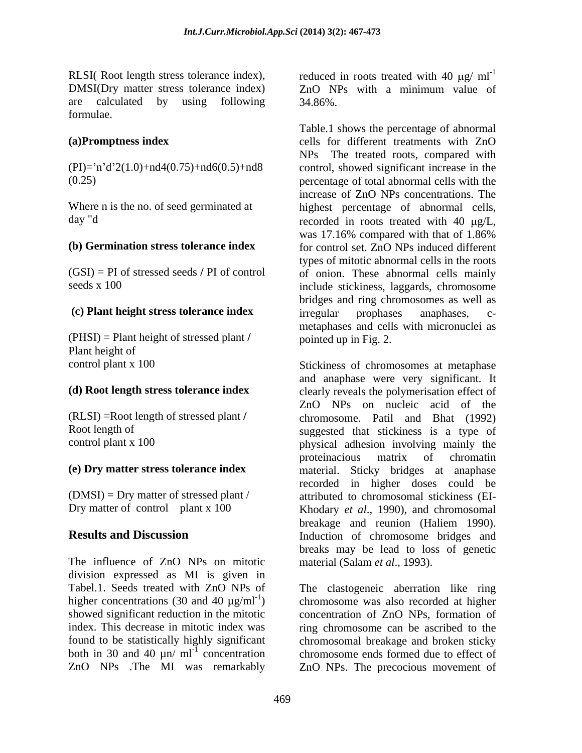DMSI(Dry matter stress tolerance index)  $ZnO$  NPs with a minimum value of are calculated by using following 34.86%. are calculated by using following 34.86%. formulae.

(PHSI) = Plant height of stressed plant **/** Plant height of<br>
control plant x 100<br>
Stickiness of chromosomes at metaphase

The influence of ZnO NPs on mitotic division expressed as MI is given in both in 30 and 40  $\mu$ n/ ml<sup>-1</sup> concentration

RLSI( Root length stress tolerance index), reduced in roots treated with 40  $\mu$ g/ ml<sup>-1</sup> ZnO NPs with a minimum value of 34.86%.

**(a)Promptness index**  cells for different treatments with ZnO  $(PI)=n'd'2(1.0)+nd4(0.75)+nd6(0.5)+nd8$  control, showed significant increase in the (0.25) percentage of total abnormal cellswith the increase of ZnO NPs concentrations. The<br>Where n is the no. of seed germinated at highest percentage of abnormal cells, day "d
recorded in roots treated with 40  $\mu$ g/L, **(b) Germination stress tolerance index**  for control set. ZnO NPs induced different (GSI) = PI of stressed seeds **/** PI of control of onion. These abnormal cells mainly seeds x 100 include stickiness, laggards, chromosome **(c) Plant height stress tolerance index**  Table.1 shows the percentage of abnormal NPs The treated roots, compared with highest percentage of abnormal cells, was 17.16% compared with that of 1.86% types of mitotic abnormal cells in the roots bridges and ring chromosomes as well as irregular prophases anaphases, c metaphases and cells with micronuclei as pointed up in Fig. 2.

**(d) Root length stress tolerance index** clearly reveals the polymerisation effect of (RLSI) =Root length of stressed plant **/** chromosome. Patil and Bhat (1992) Root length of suggested that stickiness is a type of suggested that stickiness is a type of physical adhesion involving mainly the **(e) Dry matter stress tolerance index** material. Sticky bridges at anaphase (DMSI) = Dry matter of stressed plant / attributed to chromosomal stickiness (EI- Dry matter of control plant x 100 Khodary *et al.*, 1990), and chromosomal **Results and Discussion Induction** of chromosome bridges and Stickiness of chromosomes at metaphase and anaphase were very significant. It ZnO NPs on nucleic acid of the physical adhesion involving mainly the proteinacious matrix of chromatin recorded in higher doses could be breakage and reunion (Haliem 1990). breaks may be lead to loss of genetic material (Salam *et al*., 1993).

Tabel.1. Seeds treated with ZnO NPs of The clastogeneic aberration like ring higher concentrations (30 and 40  $\mu$ g/ml<sup>-1</sup>) chromosome was also recorded at higher showed significant reduction in the mitotic concentration of ZnO NPs, formation of index. This decrease in mitotic index was ring chromosome can be ascribed to the found to be statistically highly significant chromosomal breakage and broken sticky concentration chromosome ends formed due to effect of ZnO NPs .The MI was remarkably ZnO NPs. The precocious movement of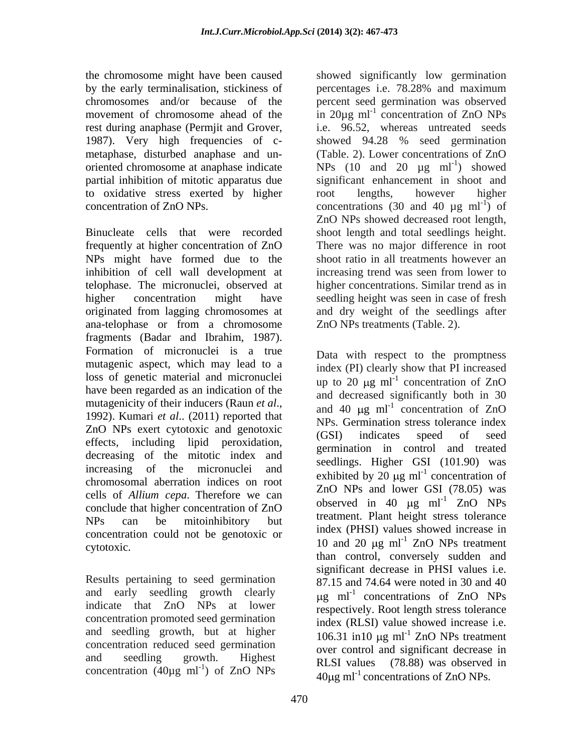the chromosome might have been caused by the early terminalisation, stickiness of percentages i.e. 78.28% and maximum chromosomes and/or because of the percent seed germination was observed movement of chromosome ahead of the  $\sin 20\mu g$  ml<sup>-1</sup> concentration of ZnO NPs rest during anaphase (Permjit and Grover, 1987). Very high frequencies of c-<br>showed 94.28 % seed germination metaphase, disturbed anaphase and un oriented chromosome at anaphase indicate partial inhibition of mitotic apparatus due to oxidative stress exerted by higher concentration of ZnO NPs.  $\qquad \qquad$  concentrations (30 and 40 µg ml<sup>-1</sup>) of

Binucleate cells that were recorded shoot length and total seedlings height. frequently at higher concentration of ZnO NPs might have formed due to the inhibition of cell wall development at telophase. The micronuclei, observed at higher concentration might have seedling height was seen in case of fresh originated from lagging chromosomes at ana-telophase or from a chromosome fragments (Badar and Ibrahim, 1987). Formation of micronuclei is a true mutagenic aspect, which may lead to a loss of genetic material and micronuclei have been regarded as an indication of the mutagenicity of their inducers (Raun *et al*., 1992). Kumari *et al*.. (2011) reported that ZnO NPs exert cytotoxic and genotoxic (GSI) indicates speed of seed effects, including lipid peroxidation, decreasing of the mitotic index and increasing of the micronuclei and chromosomal aberration indices on root cells of *Allium cepa*. Therefore we can conclude that higher concentration of ZnO  $NPs$  can be mitoinhibitory but  $\frac{d}{dx}$   $\frac{d}{dx}$   $\frac{d}{dx}$   $\frac{d}{dx}$   $\frac{d}{dx}$   $\frac{d}{dx}$   $\frac{d}{dx}$ concentration could not be genotoxic or cytotoxic.  $10 \text{ and } 20 \text{ µg } \text{ml}^{-1}$  ZnO NPs treatment

Results pertaining to seed germination and early seedling growth clearly concentration promoted seed germination and seedling growth, but at higher concentration reduced seed germination concentration  $(40\mu g \text{ ml}^{-1})$  of ZnO NPs

showed significantly low germination concentration of ZnO NPs i.e. 96.52, whereas untreated seeds showed 94.28 % seed germination (Table. 2). Lower concentrations of ZnO NPs  $(10 \text{ and } 20 \text{ µg } ml^{-1})$  showed ) showed significant enhancement in shoot and root lengths, however higher ) of ZnO NPs showed decreased root length, There was no major difference in root shoot ratio in all treatments however an increasing trend was seen from lower to higher concentrations. Similar trend as in and dry weight of the seedlings after ZnO NPs treatments (Table. 2).

indicate that  $ZnO$  NPs at lower respectively Root-length stress tolerance and seedling growth. Highest RLSI values (78.88) was observed in ) of  $ZnO$  NPs  $A0 \mu \sigma m^{1/2}$  concentrations of  $ZnO$  NPs Data with respect to the promptness index (PI) clearly show that PI increased up to 20  $\mu$ g ml<sup>-1</sup> concentration of ZnO concentration of ZnO and decreased significantly both in 30 and 40  $\mu$ g ml<sup>-1</sup> concentration of ZnO concentration of ZnO NPs. Germination stress tolerance index (GSI) indicates speed of seed germination in control and treated seedlings. Higher GSI (101.90) was exhibited by 20  $\mu$ g ml<sup>-1</sup> concentration of concentration of ZnO NPs and lower GSI (78.05) was observed in 40  $\mu$ g ml<sup>-1</sup> ZnO NPs treatment. Plant height stress tolerance index (PHSI) values showed increase in than control, conversely sudden and significant decrease in PHSI values i.e. 87.15 and 74.64 were noted in 30 and 40  $\mu$ g ml<sup>-1</sup> concentrations of ZnO NPs concentrations of ZnO NPs respectively. Root length stress tolerance index (RLSI) value showed increase i.e. 106.31 in 10  $\mu$ g ml<sup>-1</sup> ZnO NPs treatment over control and significant decrease in  $40\mu$ g ml<sup>-1</sup> concentrations of ZnO NPs.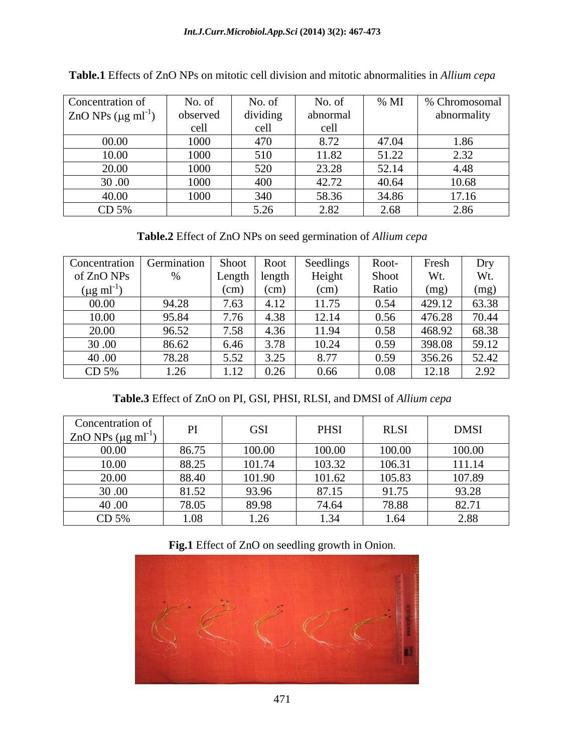| Concentration of                     | No. of   | No. of     | No. of                          | $\%$ MI | % Chromosomal |
|--------------------------------------|----------|------------|---------------------------------|---------|---------------|
| $ZnO$ NPs ( $\mu$ g ml <sup>-1</sup> | observed | dividing   | abnormal                        |         | abnormality   |
|                                      | cell     | cell       | cell                            |         |               |
| 00.00                                | 1000     | 470<br>470 | 8.72                            | 47.04   | 1.86          |
| 10.00                                | 1000     | 510        | 11.82                           | 51.22   | 232<br>ے بہت  |
| 20.00                                | 1000     | 520        | 23.28                           | 52.14   | 4.48          |
| 30.00                                | 1000     | 400        | 42.72                           | 40.64   | 10.68         |
| 40.00                                | 1000     | 340        | 58.36                           | 34.86   | 17.16         |
| CD 5%                                |          | 5.26       | $\gamma$ or<br>$\overline{ }$ . | 2.68    | 2.86          |

**Table.1** Effects of ZnO NPs on mitotic cell division and mitotic abnormalities in *Allium cepa*

**Table.2** Effect of ZnO NPs on seed germination of *Allium cepa*

| Concentration            | Germination  | Shoot           | Root   | Seedlings | Root-                      | Fresh  | Dry   |
|--------------------------|--------------|-----------------|--------|-----------|----------------------------|--------|-------|
| of ZnO NPs               |              | Length   length |        | Height    | <b>Shoc</b>                |        | Wt.   |
| $(\mu g \text{ ml}^{-})$ |              | (cm)            | (cm)   | (cm)      | Ratio                      | (mg)   | (mg)  |
| 00.00                    | 94.28        | 7.63            | 4.12   | 11.75     | 0.54                       | 429.12 | 63.38 |
| 10.00                    | 95.84        | 7.76            | $+.38$ | 12.14     | 0.56                       | 476.28 | 70.44 |
| 20.00                    | 96.52        | 7.58            | 4.36   | 11.94     | 0.58                       | 468.92 | 68.38 |
| 30.00                    | 86.62        | 6.46            | 3.78   | 10.24     | 0.59                       | 398.08 | 59.12 |
| 40.00                    | 78.28        | 5.52            | 3.25   | 8.77      | 0.59<br>$\cup . \cup \cup$ | 356.26 | 52.42 |
| CD 5%                    | 1.2<<br>⊥.∠∪ | 1.12            | 0.26   | 0.66      | 0.08                       | 12.18  | 2.92  |

**Table.3** Effect of ZnO on PI, GSI, PHSI, RLSI, and DMSI of *Allium cepa*

| Concentration of<br>$ZnO$ NPs ( $\mu$ g ml <sup>-1</sup> | D <sub>1</sub> | <b>GSI</b> | PHSI   | <b>RLSI</b>         | <b>DMSI</b> |
|----------------------------------------------------------|----------------|------------|--------|---------------------|-------------|
| 00.00                                                    | 86.75          | 100.00     | 100.00 | 100.00              | 100.00      |
| 10.00                                                    | 88.25          | 101.74     | 103.32 | 106.31              | 111.14      |
| 20.00                                                    | 88.40          | 101.90     | 101.62 | 105.83              | 107.89      |
| 30.00                                                    | 81.52          | 93.96      | 87.15  | $\Omega$ 1<br>91.75 | 93.28       |
| 40.00                                                    | 78.05          | 89.98      | 74.64  | 78.88               | 82.71       |
| CD 5%                                                    | ററ<br>1.VO     | ل⊾.⊾       | . 34   | 1.64                | 2.88        |

**Fig.1** Effect of ZnO on seedling growth in Onion.

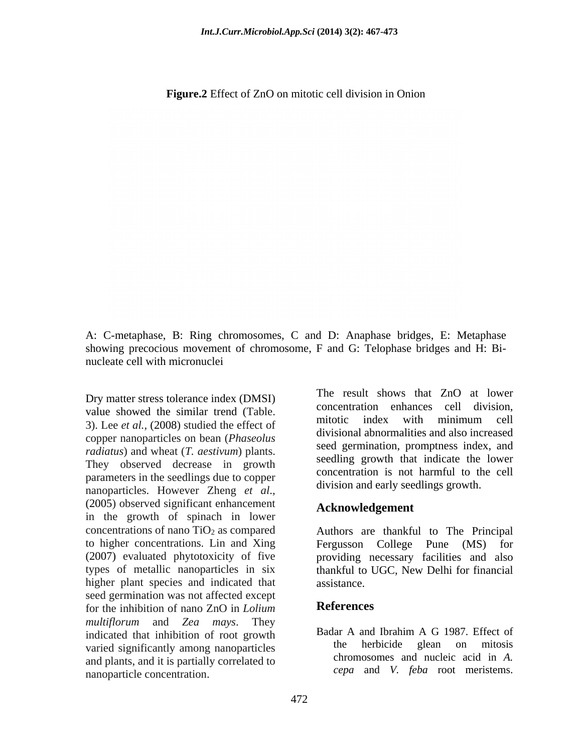**Figure.2** Effect of ZnO on mitotic cell division in Onion

A: C-metaphase, B: Ring chromosomes, C and D: Anaphase bridges, E: Metaphase showing precocious movement of chromosome, F and G: Telophase bridges and H: Bi nucleate cell with micronuclei

Dry matter stress tolerance index (DMSI) 3). Lee *et al.,* (2008) studied the effect of copper nanoparticles on bean (*Phaseolus radiatus*) and wheat (*T. aestivum*) plants. They observed decrease in growth parameters in the seedlings due to copper nanoparticles. However Zheng *et al*., (2005) observed significant enhancement in the growth of spinach in lower higher plant species and indicated that assistance. seed germination was not affected except<br>for the inhibition of nano ZnO in *Lolium* References for the inhibition of nano ZnO in *Lolium multiflorum* and *Zea mays*. They varied significantly among nanoparticles and plants, and it is partially correlated to nanoparticle concentration.

value showed the similar trend (Table.<br>a)  $\frac{1}{2}$  concentration emances cent division, The result shows that ZnO at lower concentration enhances cell division, mitotic index with minimum cell divisional abnormalities and also increased seed germination, promptness index, and seedling growth that indicate the lower concentration is not harmful to the cell division and early seedlings growth.

### **Acknowledgement**

concentrations of nano  $TiO<sub>2</sub>$  as compared Authors are thankful to The Principal to higher concentrations. Lin and Xing Fergusson College Pune (MS) for (2007) evaluated phytotoxicity of five providing necessary facilities and also types of metallic nanoparticles in six thankful to UGC, New Delhi for financial assistance.

### **References**

indicated that inhibition of root growth<br>wind interval distribution of representing the herbicide glean on mitosis Badar A and Ibrahim A G 1987. Effect of the herbicide glean on mitosis chromosomes and nucleic acid in *A. cepa* and *V. feba* root meristems.